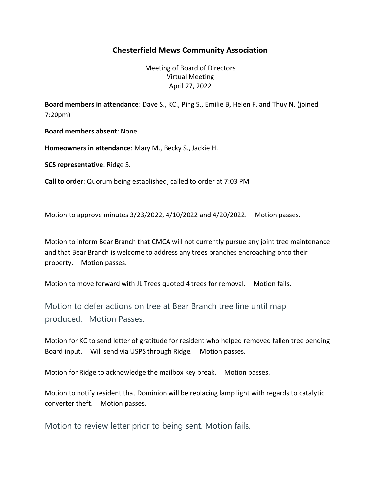## Chesterfield Mews Community Association

Meeting of Board of Directors Virtual Meeting April 27, 2022

Board members in attendance: Dave S., KC., Ping S., Emilie B, Helen F. and Thuy N. (joined 7:20pm)

Board members absent: None

Homeowners in attendance: Mary M., Becky S., Jackie H.

SCS representative: Ridge S.

Call to order: Quorum being established, called to order at 7:03 PM

Motion to approve minutes 3/23/2022, 4/10/2022 and 4/20/2022. Motion passes.

Motion to inform Bear Branch that CMCA will not currently pursue any joint tree maintenance and that Bear Branch is welcome to address any trees branches encroaching onto their property. Motion passes.

Motion to move forward with JL Trees quoted 4 trees for removal. Motion fails.

Motion to defer actions on tree at Bear Branch tree line until map produced. Motion Passes.

Motion for KC to send letter of gratitude for resident who helped removed fallen tree pending Board input. Will send via USPS through Ridge. Motion passes.

Motion for Ridge to acknowledge the mailbox key break. Motion passes.

Motion to notify resident that Dominion will be replacing lamp light with regards to catalytic converter theft. Motion passes.

Motion to review letter prior to being sent. Motion fails.